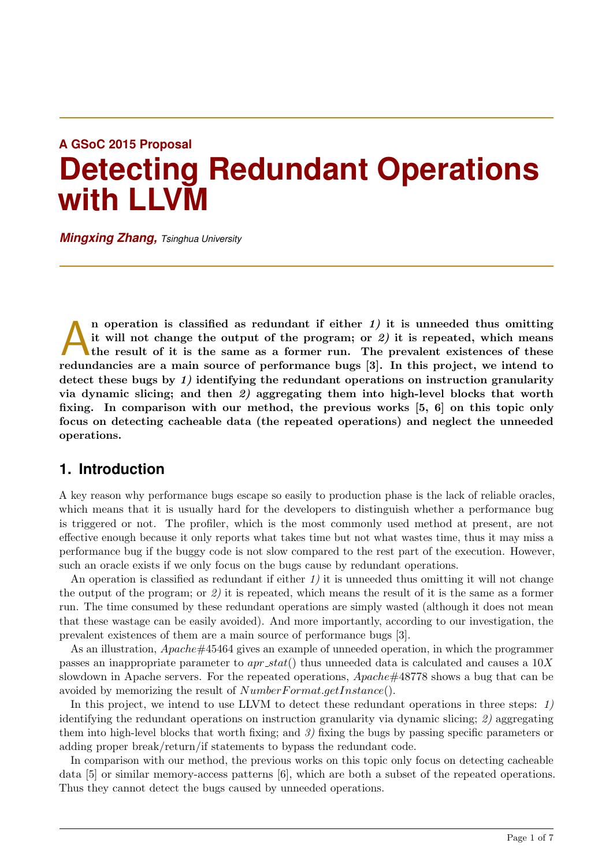# **A GSoC 2015 Proposal Detecting Redundant Operations with LLVM**

*Mingxing Zhang, Tsinghua University*

In operation is classified as redundant if either  $1$ ) it is unneeded thus omitting it will not change the output of the program; or  $2$ ) it is repeated, which means the result of it is the same as a former run. The preva n operation is classified as redundant if either  $1$ ) it is unneeded thus omitting it will not change the output of the program; or  $\mathcal{Z}$ ) it is repeated, which means the result of it is the same as a former run. The prevalent existences of these detect these bugs by 1) identifying the redundant operations on instruction granularity via dynamic slicing; and then  $\hat{z}$ ) aggregating them into high-level blocks that worth fixing. In comparison with our method, the previous works [5, 6] on this topic only focus on detecting cacheable data (the repeated operations) and neglect the unneeded operations.

## **1. Introduction**

A key reason why performance bugs escape so easily to production phase is the lack of reliable oracles, which means that it is usually hard for the developers to distinguish whether a performance bug is triggered or not. The profiler, which is the most commonly used method at present, are not effective enough because it only reports what takes time but not what wastes time, thus it may miss a performance bug if the buggy code is not slow compared to the rest part of the execution. However, such an oracle exists if we only focus on the bugs cause by redundant operations.

An operation is classified as redundant if either  $1$ ) it is unneeded thus omitting it will not change the output of the program; or 2) it is repeated, which means the result of it is the same as a former run. The time consumed by these redundant operations are simply wasted (although it does not mean that these wastage can be easily avoided). And more importantly, according to our investigation, the prevalent existences of them are a main source of performance bugs [3].

As an illustration, Apache#45464 gives an example of unneeded operation, in which the programmer passes an inappropriate parameter to  $apr\_stat()$  thus unneeded data is calculated and causes a  $10X$ slowdown in Apache servers. For the repeated operations, Apache#48778 shows a bug that can be avoided by memorizing the result of  $NumberFormat.getInstance()$ .

In this project, we intend to use LLVM to detect these redundant operations in three steps:  $1$ ) identifying the redundant operations on instruction granularity via dynamic slicing; 2) aggregating them into high-level blocks that worth fixing; and  $\beta$ ) fixing the bugs by passing specific parameters or adding proper break/return/if statements to bypass the redundant code.

In comparison with our method, the previous works on this topic only focus on detecting cacheable data [5] or similar memory-access patterns [6], which are both a subset of the repeated operations. Thus they cannot detect the bugs caused by unneeded operations.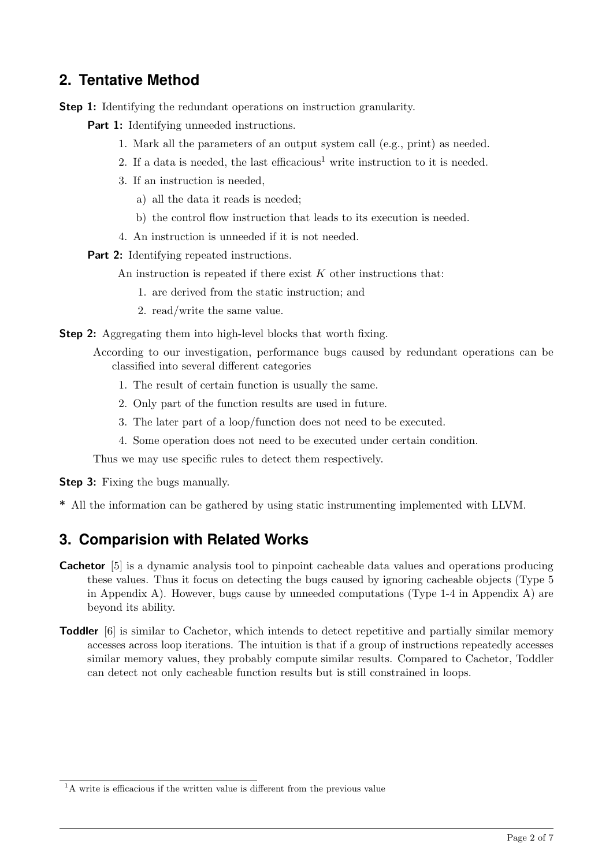## **2. Tentative Method**

Step 1: Identifying the redundant operations on instruction granularity.

**Part 1:** Identifying unneeded instructions.

- 1. Mark all the parameters of an output system call (e.g., print) as needed.
- 2. If a data is needed, the last efficacious<sup>1</sup> write instruction to it is needed.
- 3. If an instruction is needed,
	- a) all the data it reads is needed;
	- b) the control flow instruction that leads to its execution is needed.
- 4. An instruction is unneeded if it is not needed.

Part 2: Identifying repeated instructions.

An instruction is repeated if there exist  $K$  other instructions that:

- 1. are derived from the static instruction; and
- 2. read/write the same value.

**Step 2:** Aggregating them into high-level blocks that worth fixing.

According to our investigation, performance bugs caused by redundant operations can be classified into several different categories

- 1. The result of certain function is usually the same.
- 2. Only part of the function results are used in future.
- 3. The later part of a loop/function does not need to be executed.
- 4. Some operation does not need to be executed under certain condition.

Thus we may use specific rules to detect them respectively.

**Step 3:** Fixing the bugs manually.

\* All the information can be gathered by using static instrumenting implemented with LLVM.

## **3. Comparision with Related Works**

- **Cachetor** [5] is a dynamic analysis tool to pinpoint cacheable data values and operations producing these values. Thus it focus on detecting the bugs caused by ignoring cacheable objects (Type 5 in Appendix A). However, bugs cause by unneeded computations (Type 1-4 in Appendix A) are beyond its ability.
- **Toddler** [6] is similar to Cachetor, which intends to detect repetitive and partially similar memory accesses across loop iterations. The intuition is that if a group of instructions repeatedly accesses similar memory values, they probably compute similar results. Compared to Cachetor, Toddler can detect not only cacheable function results but is still constrained in loops.

 $1$ <sup>1</sup>A write is efficacious if the written value is different from the previous value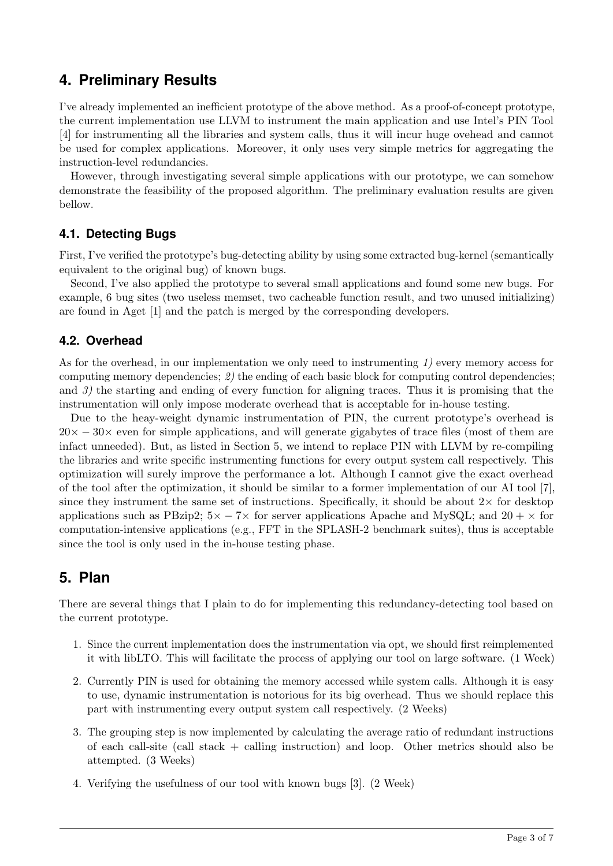## **4. Preliminary Results**

I've already implemented an inefficient prototype of the above method. As a proof-of-concept prototype, the current implementation use LLVM to instrument the main application and use Intel's PIN Tool [4] for instrumenting all the libraries and system calls, thus it will incur huge ovehead and cannot be used for complex applications. Moreover, it only uses very simple metrics for aggregating the instruction-level redundancies.

However, through investigating several simple applications with our prototype, we can somehow demonstrate the feasibility of the proposed algorithm. The preliminary evaluation results are given bellow.

#### **4.1. Detecting Bugs**

First, I've verified the prototype's bug-detecting ability by using some extracted bug-kernel (semantically equivalent to the original bug) of known bugs.

Second, I've also applied the prototype to several small applications and found some new bugs. For example, 6 bug sites (two useless memset, two cacheable function result, and two unused initializing) are found in Aget [1] and the patch is merged by the corresponding developers.

#### **4.2. Overhead**

As for the overhead, in our implementation we only need to instrumenting  $1$ ) every memory access for computing memory dependencies; 2) the ending of each basic block for computing control dependencies; and 3) the starting and ending of every function for aligning traces. Thus it is promising that the instrumentation will only impose moderate overhead that is acceptable for in-house testing.

Due to the heay-weight dynamic instrumentation of PIN, the current prototype's overhead is  $20\times -30\times$  even for simple applications, and will generate gigabytes of trace files (most of them are infact unneeded). But, as listed in Section 5, we intend to replace PIN with LLVM by re-compiling the libraries and write specific instrumenting functions for every output system call respectively. This optimization will surely improve the performance a lot. Although I cannot give the exact overhead of the tool after the optimization, it should be similar to a former implementation of our AI tool [7], since they instrument the same set of instructions. Specifically, it should be about  $2\times$  for desktop applications such as PBzip2;  $5 \times -7 \times$  for server applications Apache and MySQL; and  $20 + \times$  for computation-intensive applications (e.g., FFT in the SPLASH-2 benchmark suites), thus is acceptable since the tool is only used in the in-house testing phase.

## **5. Plan**

There are several things that I plain to do for implementing this redundancy-detecting tool based on the current prototype.

- 1. Since the current implementation does the instrumentation via opt, we should first reimplemented it with libLTO. This will facilitate the process of applying our tool on large software. (1 Week)
- 2. Currently PIN is used for obtaining the memory accessed while system calls. Although it is easy to use, dynamic instrumentation is notorious for its big overhead. Thus we should replace this part with instrumenting every output system call respectively. (2 Weeks)
- 3. The grouping step is now implemented by calculating the average ratio of redundant instructions of each call-site (call stack + calling instruction) and loop. Other metrics should also be attempted. (3 Weeks)
- 4. Verifying the usefulness of our tool with known bugs [3]. (2 Week)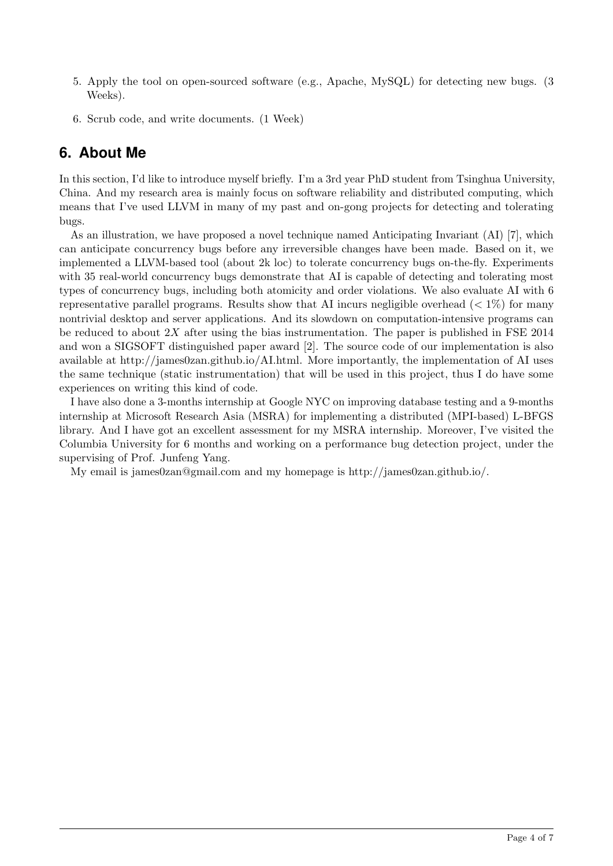- 5. Apply the tool on open-sourced software (e.g., Apache, MySQL) for detecting new bugs. (3 Weeks).
- 6. Scrub code, and write documents. (1 Week)

## **6. About Me**

In this section, I'd like to introduce myself briefly. I'm a 3rd year PhD student from Tsinghua University, China. And my research area is mainly focus on software reliability and distributed computing, which means that I've used LLVM in many of my past and on-gong projects for detecting and tolerating bugs.

As an illustration, we have proposed a novel technique named Anticipating Invariant (AI) [7], which can anticipate concurrency bugs before any irreversible changes have been made. Based on it, we implemented a LLVM-based tool (about 2k loc) to tolerate concurrency bugs on-the-fly. Experiments with 35 real-world concurrency bugs demonstrate that AI is capable of detecting and tolerating most types of concurrency bugs, including both atomicity and order violations. We also evaluate AI with 6 representative parallel programs. Results show that AI incurs negligible overhead ( $< 1\%$ ) for many nontrivial desktop and server applications. And its slowdown on computation-intensive programs can be reduced to about  $2X$  after using the bias instrumentation. The paper is published in FSE 2014 and won a SIGSOFT distinguished paper award [2]. The source code of our implementation is also available at http://james0zan.github.io/AI.html. More importantly, the implementation of AI uses the same technique (static instrumentation) that will be used in this project, thus I do have some experiences on writing this kind of code.

I have also done a 3-months internship at Google NYC on improving database testing and a 9-months internship at Microsoft Research Asia (MSRA) for implementing a distributed (MPI-based) L-BFGS library. And I have got an excellent assessment for my MSRA internship. Moreover, I've visited the Columbia University for 6 months and working on a performance bug detection project, under the supervising of Prof. Junfeng Yang.

My email is james0zan@gmail.com and my homepage is http://james0zan.github.io/.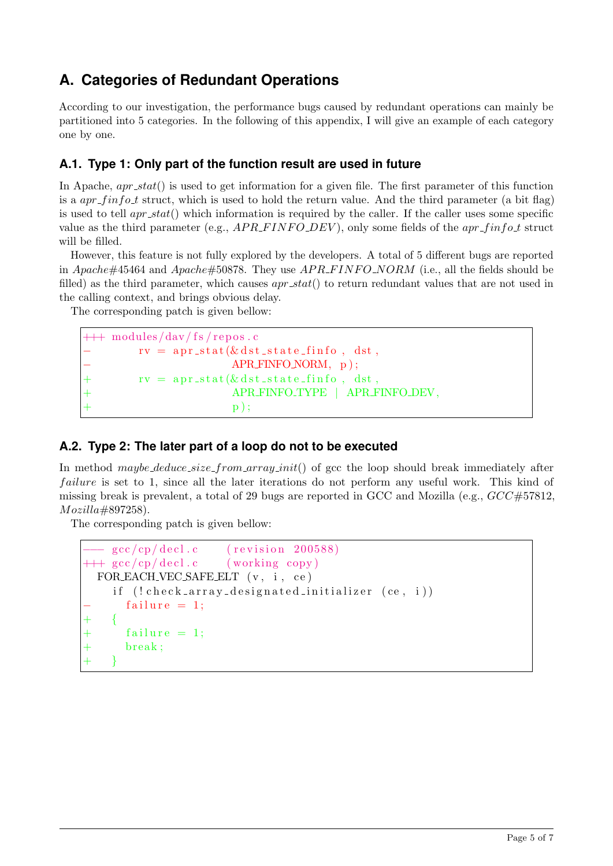## **A. Categories of Redundant Operations**

According to our investigation, the performance bugs caused by redundant operations can mainly be partitioned into 5 categories. In the following of this appendix, I will give an example of each category one by one.

#### **A.1. Type 1: Only part of the function result are used in future**

In Apache,  $apr\_stat()$  is used to get information for a given file. The first parameter of this function is a  $apr\_finfo\_t$  struct, which is used to hold the return value. And the third parameter (a bit flag) is used to tell  $apr\_stat()$  which information is required by the caller. If the caller uses some specific value as the third parameter (e.g.,  $APR\_FINFO-DEV$ ), only some fields of the  $apr\_finfo\_t$  struct will be filled.

However, this feature is not fully explored by the developers. A total of 5 different bugs are reported in Apache#45464 and Apache#50878. They use  $APR\_FINFO\_NORM$  (i.e., all the fields should be filled) as the third parameter, which causes  $apr\_stat()$  to return redundant values that are not used in the calling context, and brings obvious delay.

The corresponding patch is given bellow:

```
++\modules/dav/fs/repos.c
         rv = apr\_stat(&ds \, ds t\_state\_finfo, ds t,− APR FINFO NORM, p ) ;
         rv = apr\_stat(& ds t\_state\_finfo, dst,+ APR FINFO TYPE | APR FINFO DEV,
+\qquad \qquad \mathbf{p} );
```
### **A.2. Type 2: The later part of a loop do not to be executed**

In method maybe deduce  $size\_from\_array\_init()$  of gcc the loop should break immediately after failure is set to 1, since all the later iterations do not perform any useful work. This kind of missing break is prevalent, a total of 29 bugs are reported in GCC and Mozilla (e.g.,  $GCC \#57812$ , Mozilla#897258).

The corresponding patch is given bellow:

```
- gcc/cp/decl.c (revision 200588)
++ gcc/cp/decl.c (working copy)
 FOR EACH VEC SAFE ELT (v, i, ce)if (l \, check\_array\_desired\_initializer (ce, i))failure = 1:
+ {
      failure = 1;
      break;
+ }
```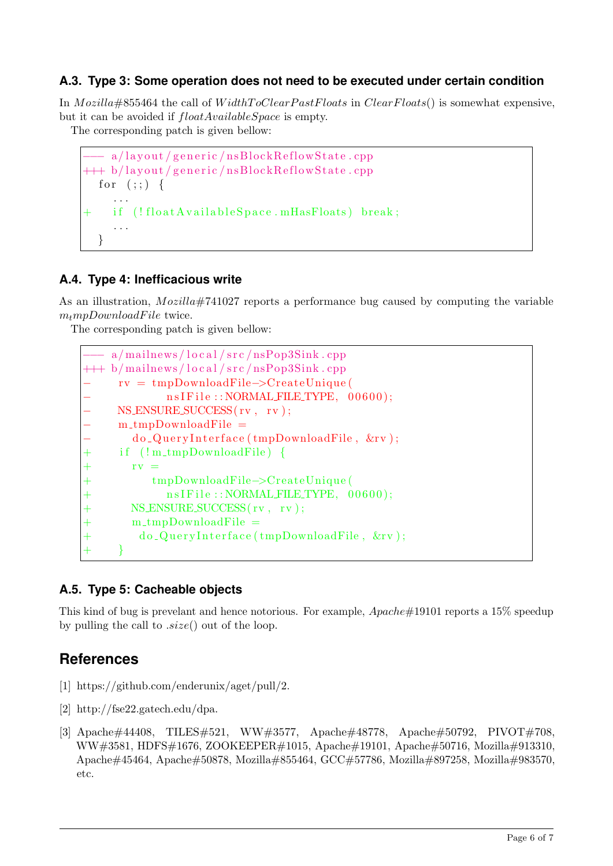### **A.3. Type 3: Some operation does not need to be executed under certain condition**

In Mozilla#855464 the call of WidthToClearPastFloats in ClearFloats() is somewhat expensive, but it can be avoided if  $floatAvailableSpace$  is empty.

The corresponding patch is given bellow:

```
−−− a/ l a y o u t / g e n e r i c / n sBl o c kR e fl ow S t a t e . cpp
+++b/layout/generative/nsBlockReflowState.cppfor (:;) \{. . .
     if (!float A vailable Space.mHasFloats) break;
      . . .
   }
```
#### **A.4. Type 4: Inefficacious write**

As an illustration, *Mozilla*#741027 reports a performance bug caused by computing the variable  $m_t m pDownloadFile$  twice.

The corresponding patch is given bellow:

```
a/mailnews / local / src / nsPop3Sink . cpp++\frac{1}{2} b/mailnews/local/src/nsPop3Sink.cpp
     − rv = tmpDownloadFile−>CreateUnique (
             n s I F i l e : : NORMAL FILE TYPE, 00600);
     NS ENSURE SUCCESS(rv, rv);
     − m tmpDownloadFile =
       do_QueryInterface(tmpDownloadFile, &rv);
     if (l m_t m_D) bownloadFile \}rv =+ tmpDownloadFile−>CreateUnique (
             nsIFile::NORMAL FILEITYPE, 00600);NS ENSURE SUCCESS(rv, rv);
       m_tmpDownloadFile =+ do_QueryInterface(tmpDownloadFile, &rv);
+ }
```
### **A.5. Type 5: Cacheable objects**

This kind of bug is prevelant and hence notorious. For example,  $A$  *packet*  $\#19101$  reports a 15% speedup by pulling the call to  $.size()$  out of the loop.

## **References**

- [1] https://github.com/enderunix/aget/pull/2.
- [2] http://fse22.gatech.edu/dpa.
- [3] Apache#44408, TILES#521, WW#3577, Apache#48778, Apache#50792, PIVOT#708, WW#3581, HDFS#1676, ZOOKEEPER#1015, Apache#19101, Apache#50716, Mozilla#913310, Apache#45464, Apache#50878, Mozilla#855464, GCC#57786, Mozilla#897258, Mozilla#983570, etc.